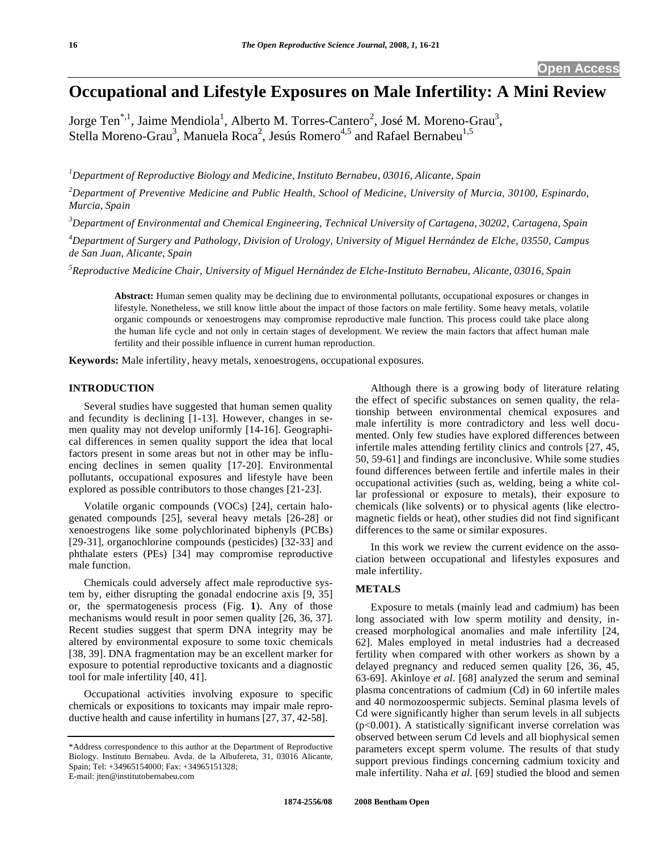# **Occupational and Lifestyle Exposures on Male Infertility: A Mini Review**

Jorge Ten<sup>\*,1</sup>, Jaime Mendiola<sup>1</sup>, Alberto M. Torres-Cantero<sup>2</sup>, José M. Moreno-Grau<sup>3</sup>, Stella Moreno-Grau<sup>3</sup>, Manuela Roca<sup>2</sup>, Jesús Romero<sup>4,5</sup> and Rafael Bernabeu<sup>1,5</sup>

*1 Department of Reproductive Biology and Medicine, Instituto Bernabeu, 03016, Alicante, Spain* 

<sup>2</sup> Department of Preventive Medicine and Public Health, School of Medicine, University of Murcia, 30100, Espinardo, *Murcia, Spain* 

*3 Department of Environmental and Chemical Engineering, Technical University of Cartagena, 30202, Cartagena, Spain* 

*4 Department of Surgery and Pathology, Division of Urology, University of Miguel Hernández de Elche, 03550, Campus de San Juan, Alicante, Spain* 

*5 Reproductive Medicine Chair, University of Miguel Hernández de Elche-Instituto Bernabeu, Alicante, 03016, Spain* 

**Abstract:** Human semen quality may be declining due to environmental pollutants, occupational exposures or changes in lifestyle. Nonetheless, we still know little about the impact of those factors on male fertility. Some heavy metals, volatile organic compounds or xenoestrogens may compromise reproductive male function. This process could take place along the human life cycle and not only in certain stages of development. We review the main factors that affect human male fertility and their possible influence in current human reproduction.

**Keywords:** Male infertility, heavy metals, xenoestrogens, occupational exposures.

# **INTRODUCTION**

 Several studies have suggested that human semen quality and fecundity is declining [1-13]. However, changes in semen quality may not develop uniformly [14-16]. Geographical differences in semen quality support the idea that local factors present in some areas but not in other may be influencing declines in semen quality [17-20]. Environmental pollutants, occupational exposures and lifestyle have been explored as possible contributors to those changes [21-23].

 Volatile organic compounds (VOCs) [24], certain halogenated compounds [25], several heavy metals [26-28] or xenoestrogens like some polychlorinated biphenyls (PCBs) [29-31], organochlorine compounds (pesticides) [32-33] and phthalate esters (PEs) [34] may compromise reproductive male function.

 Chemicals could adversely affect male reproductive system by, either disrupting the gonadal endocrine axis [9, 35] or, the spermatogenesis process (Fig. **1**). Any of those mechanisms would result in poor semen quality [26, 36, 37]. Recent studies suggest that sperm DNA integrity may be altered by environmental exposure to some toxic chemicals [38, 39]. DNA fragmentation may be an excellent marker for exposure to potential reproductive toxicants and a diagnostic tool for male infertility [40, 41].

 Occupational activities involving exposure to specific chemicals or expositions to toxicants may impair male reproductive health and cause infertility in humans [27, 37, 42-58].

 Although there is a growing body of literature relating the effect of specific substances on semen quality, the relationship between environmental chemical exposures and male infertility is more contradictory and less well documented. Only few studies have explored differences between infertile males attending fertility clinics and controls [27, 45, 50, 59-61] and findings are inconclusive. While some studies found differences between fertile and infertile males in their occupational activities (such as, welding, being a white collar professional or exposure to metals), their exposure to chemicals (like solvents) or to physical agents (like electromagnetic fields or heat), other studies did not find significant differences to the same or similar exposures.

 In this work we review the current evidence on the association between occupational and lifestyles exposures and male infertility.

# **METALS**

 Exposure to metals (mainly lead and cadmium) has been long associated with low sperm motility and density, increased morphological anomalies and male infertility [24, 62]. Males employed in metal industries had a decreased fertility when compared with other workers as shown by a delayed pregnancy and reduced semen quality [26, 36, 45, 63-69]. Akinloye *et al*. [68] analyzed the serum and seminal plasma concentrations of cadmium (Cd) in 60 infertile males and 40 normozoospermic subjects. Seminal plasma levels of Cd were significantly higher than serum levels in all subjects (p<0.001). A statistically significant inverse correlation was observed between serum Cd levels and all biophysical semen parameters except sperm volume. The results of that study support previous findings concerning cadmium toxicity and male infertility. Naha *et al*. [69] studied the blood and semen

<sup>\*</sup>Address correspondence to this author at the Department of Reproductive Biology. Instituto Bernabeu. Avda. de la Albufereta, 31, 03016 Alicante, Spain; Tel: +34965154000; Fax: +34965151328; E-mail: jten@institutobernabeu.com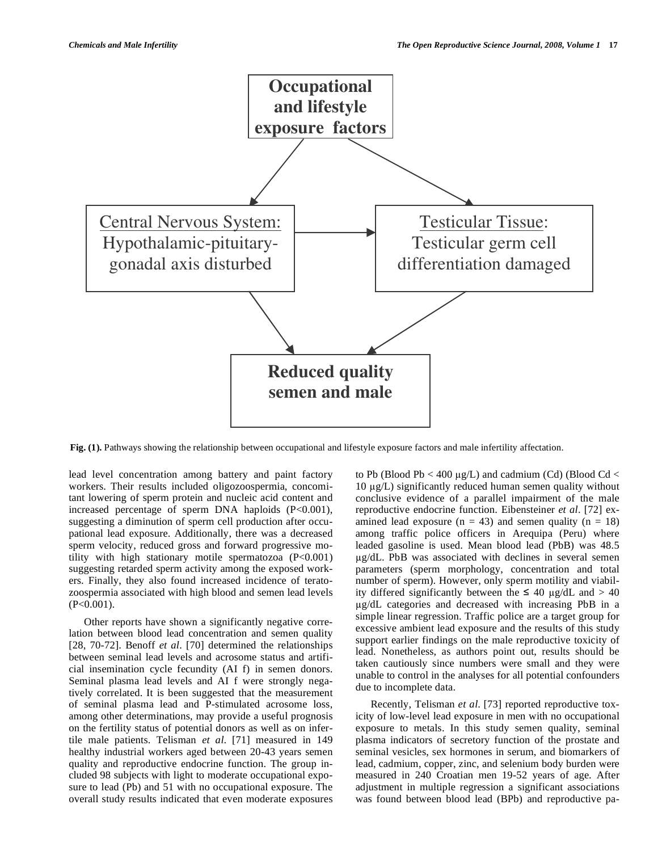

Fig. (1). Pathways showing the relationship between occupational and lifestyle exposure factors and male infertility affectation.

lead level concentration among battery and paint factory workers. Their results included oligozoospermia, concomitant lowering of sperm protein and nucleic acid content and increased percentage of sperm DNA haploids  $(P<0.001)$ , suggesting a diminution of sperm cell production after occupational lead exposure. Additionally, there was a decreased sperm velocity, reduced gross and forward progressive motility with high stationary motile spermatozoa (P<0.001) suggesting retarded sperm activity among the exposed workers. Finally, they also found increased incidence of teratozoospermia associated with high blood and semen lead levels  $(P<0.001)$ .

 Other reports have shown a significantly negative correlation between blood lead concentration and semen quality [28, 70-72]. Benoff *et al*. [70] determined the relationships between seminal lead levels and acrosome status and artificial insemination cycle fecundity (AI f) in semen donors. Seminal plasma lead levels and AI f were strongly negatively correlated. It is been suggested that the measurement of seminal plasma lead and P-stimulated acrosome loss, among other determinations, may provide a useful prognosis on the fertility status of potential donors as well as on infertile male patients. Telisman *et al*. [71] measured in 149 healthy industrial workers aged between 20-43 years semen quality and reproductive endocrine function. The group included 98 subjects with light to moderate occupational exposure to lead (Pb) and 51 with no occupational exposure. The overall study results indicated that even moderate exposures

to Pb (Blood Pb < 400  $\mu$ g/L) and cadmium (Cd) (Blood Cd <  $10 \mu g/L$ ) significantly reduced human semen quality without conclusive evidence of a parallel impairment of the male reproductive endocrine function. Eibensteiner *et al*. [72] examined lead exposure  $(n = 43)$  and semen quality  $(n = 18)$ among traffic police officers in Arequipa (Peru) where leaded gasoline is used. Mean blood lead (PbB) was 48.5 g/dL. PbB was associated with declines in several semen parameters (sperm morphology, concentration and total number of sperm). However, only sperm motility and viability differed significantly between the  $\leq 40 \text{ µg}/dL$  and  $> 40$ g/dL categories and decreased with increasing PbB in a simple linear regression. Traffic police are a target group for excessive ambient lead exposure and the results of this study support earlier findings on the male reproductive toxicity of lead. Nonetheless, as authors point out, results should be taken cautiously since numbers were small and they were unable to control in the analyses for all potential confounders due to incomplete data.

 Recently, Telisman *et al*. [73] reported reproductive toxicity of low-level lead exposure in men with no occupational exposure to metals. In this study semen quality, seminal plasma indicators of secretory function of the prostate and seminal vesicles, sex hormones in serum, and biomarkers of lead, cadmium, copper, zinc, and selenium body burden were measured in 240 Croatian men 19-52 years of age. After adjustment in multiple regression a significant associations was found between blood lead (BPb) and reproductive pa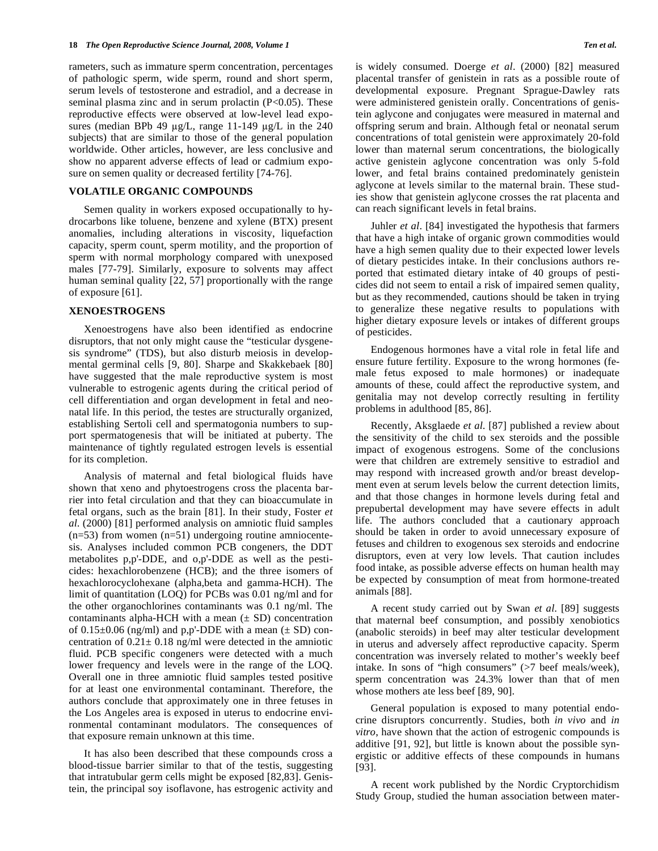rameters, such as immature sperm concentration, percentages of pathologic sperm, wide sperm, round and short sperm, serum levels of testosterone and estradiol, and a decrease in seminal plasma zinc and in serum prolactin  $(P<0.05)$ . These reproductive effects were observed at low-level lead exposures (median BPb 49  $\mu$ g/L, range 11-149  $\mu$ g/L in the 240 subjects) that are similar to those of the general population worldwide. Other articles, however, are less conclusive and show no apparent adverse effects of lead or cadmium exposure on semen quality or decreased fertility [74-76].

#### **VOLATILE ORGANIC COMPOUNDS**

 Semen quality in workers exposed occupationally to hydrocarbons like toluene, benzene and xylene (BTX) present anomalies, including alterations in viscosity, liquefaction capacity, sperm count, sperm motility, and the proportion of sperm with normal morphology compared with unexposed males [77-79]. Similarly, exposure to solvents may affect human seminal quality [22, 57] proportionally with the range of exposure [61].

# **XENOESTROGENS**

 Xenoestrogens have also been identified as endocrine disruptors, that not only might cause the "testicular dysgenesis syndrome" (TDS), but also disturb meiosis in developmental germinal cells [9, 80]. Sharpe and Skakkebaek [80] have suggested that the male reproductive system is most vulnerable to estrogenic agents during the critical period of cell differentiation and organ development in fetal and neonatal life. In this period, the testes are structurally organized, establishing Sertoli cell and spermatogonia numbers to support spermatogenesis that will be initiated at puberty. The maintenance of tightly regulated estrogen levels is essential for its completion.

 Analysis of maternal and fetal biological fluids have shown that xeno and phytoestrogens cross the placenta barrier into fetal circulation and that they can bioaccumulate in fetal organs, such as the brain [81]. In their study, Foster *et al*. (2000) [81] performed analysis on amniotic fluid samples  $(n=53)$  from women  $(n=51)$  undergoing routine amniocentesis. Analyses included common PCB congeners, the DDT metabolites p,p'-DDE, and o,p'-DDE as well as the pesticides: hexachlorobenzene (HCB); and the three isomers of hexachlorocyclohexane (alpha,beta and gamma-HCH). The limit of quantitation (LOQ) for PCBs was 0.01 ng/ml and for the other organochlorines contaminants was 0.1 ng/ml. The contaminants alpha-HCH with a mean  $(\pm SD)$  concentration of  $0.15\pm0.06$  (ng/ml) and p,p'-DDE with a mean ( $\pm$  SD) concentration of  $0.21 \pm 0.18$  ng/ml were detected in the amniotic fluid. PCB specific congeners were detected with a much lower frequency and levels were in the range of the LOQ. Overall one in three amniotic fluid samples tested positive for at least one environmental contaminant. Therefore, the authors conclude that approximately one in three fetuses in the Los Angeles area is exposed in uterus to endocrine environmental contaminant modulators. The consequences of that exposure remain unknown at this time.

 It has also been described that these compounds cross a blood-tissue barrier similar to that of the testis, suggesting that intratubular germ cells might be exposed [82,83]. Genistein, the principal soy isoflavone, has estrogenic activity and is widely consumed. Doerge *et al*. (2000) [82] measured placental transfer of genistein in rats as a possible route of developmental exposure. Pregnant Sprague-Dawley rats were administered genistein orally. Concentrations of genistein aglycone and conjugates were measured in maternal and offspring serum and brain. Although fetal or neonatal serum concentrations of total genistein were approximately 20-fold lower than maternal serum concentrations, the biologically active genistein aglycone concentration was only 5-fold lower, and fetal brains contained predominately genistein aglycone at levels similar to the maternal brain. These studies show that genistein aglycone crosses the rat placenta and can reach significant levels in fetal brains.

 Juhler *et al*. [84] investigated the hypothesis that farmers that have a high intake of organic grown commodities would have a high semen quality due to their expected lower levels of dietary pesticides intake. In their conclusions authors reported that estimated dietary intake of 40 groups of pesticides did not seem to entail a risk of impaired semen quality, but as they recommended, cautions should be taken in trying to generalize these negative results to populations with higher dietary exposure levels or intakes of different groups of pesticides.

 Endogenous hormones have a vital role in fetal life and ensure future fertility. Exposure to the wrong hormones (female fetus exposed to male hormones) or inadequate amounts of these, could affect the reproductive system, and genitalia may not develop correctly resulting in fertility problems in adulthood [85, 86].

 Recently, Aksglaede *et al*. [87] published a review about the sensitivity of the child to sex steroids and the possible impact of exogenous estrogens. Some of the conclusions were that children are extremely sensitive to estradiol and may respond with increased growth and/or breast development even at serum levels below the current detection limits, and that those changes in hormone levels during fetal and prepubertal development may have severe effects in adult life. The authors concluded that a cautionary approach should be taken in order to avoid unnecessary exposure of fetuses and children to exogenous sex steroids and endocrine disruptors, even at very low levels. That caution includes food intake, as possible adverse effects on human health may be expected by consumption of meat from hormone-treated animals [88].

 A recent study carried out by Swan *et al*. [89] suggests that maternal beef consumption, and possibly xenobiotics (anabolic steroids) in beef may alter testicular development in uterus and adversely affect reproductive capacity. Sperm concentration was inversely related to mother's weekly beef intake. In sons of "high consumers" (>7 beef meals/week), sperm concentration was 24.3% lower than that of men whose mothers ate less beef [89, 90].

 General population is exposed to many potential endocrine disruptors concurrently. Studies, both *in vivo* and *in vitro*, have shown that the action of estrogenic compounds is additive [91, 92], but little is known about the possible synergistic or additive effects of these compounds in humans [93].

 A recent work published by the Nordic Cryptorchidism Study Group, studied the human association between mater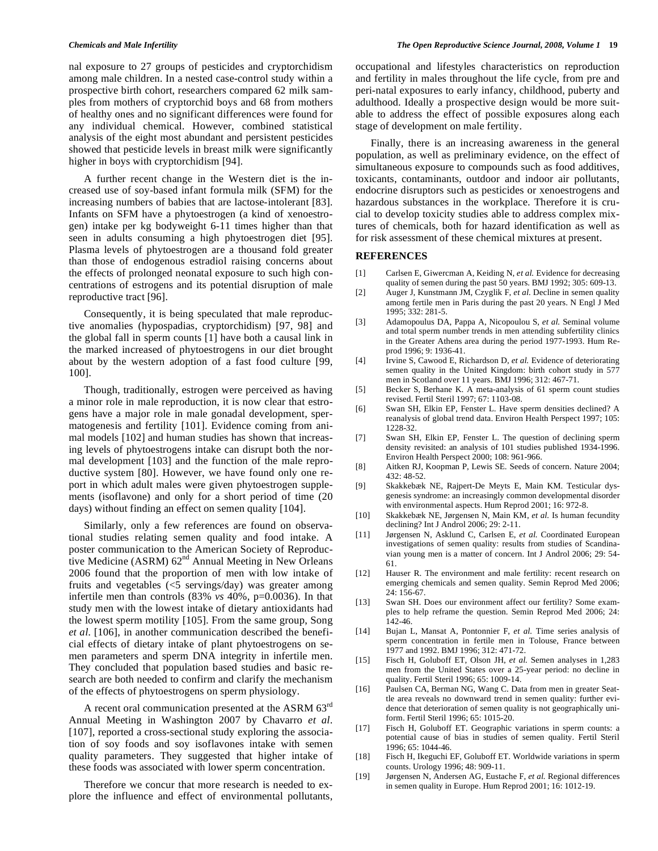nal exposure to 27 groups of pesticides and cryptorchidism among male children. In a nested case-control study within a prospective birth cohort, researchers compared 62 milk samples from mothers of cryptorchid boys and 68 from mothers of healthy ones and no significant differences were found for any individual chemical. However, combined statistical analysis of the eight most abundant and persistent pesticides showed that pesticide levels in breast milk were significantly higher in boys with cryptorchidism [94].

 A further recent change in the Western diet is the increased use of soy-based infant formula milk (SFM) for the increasing numbers of babies that are lactose-intolerant [83]. Infants on SFM have a phytoestrogen (a kind of xenoestrogen) intake per kg bodyweight 6-11 times higher than that seen in adults consuming a high phytoestrogen diet [95]. Plasma levels of phytoestrogen are a thousand fold greater than those of endogenous estradiol raising concerns about the effects of prolonged neonatal exposure to such high concentrations of estrogens and its potential disruption of male reproductive tract [96].

 Consequently, it is being speculated that male reproductive anomalies (hypospadias, cryptorchidism) [97, 98] and the global fall in sperm counts [1] have both a causal link in the marked increased of phytoestrogens in our diet brought about by the western adoption of a fast food culture [99, 100].

 Though, traditionally, estrogen were perceived as having a minor role in male reproduction, it is now clear that estrogens have a major role in male gonadal development, spermatogenesis and fertility [101]. Evidence coming from animal models [102] and human studies has shown that increasing levels of phytoestrogens intake can disrupt both the normal development [103] and the function of the male reproductive system [80]. However, we have found only one report in which adult males were given phytoestrogen supplements (isoflavone) and only for a short period of time (20 days) without finding an effect on semen quality [104].

 Similarly, only a few references are found on observational studies relating semen quality and food intake. A poster communication to the American Society of Reproductive Medicine (ASRM) 62<sup>nd</sup> Annual Meeting in New Orleans 2006 found that the proportion of men with low intake of fruits and vegetables (<5 servings/day) was greater among infertile men than controls (83% *vs* 40%, p=0.0036). In that study men with the lowest intake of dietary antioxidants had the lowest sperm motility [105]. From the same group, Song *et al*. [106], in another communication described the beneficial effects of dietary intake of plant phytoestrogens on semen parameters and sperm DNA integrity in infertile men. They concluded that population based studies and basic research are both needed to confirm and clarify the mechanism of the effects of phytoestrogens on sperm physiology.

A recent oral communication presented at the ASRM 63<sup>rd</sup> Annual Meeting in Washington 2007 by Chavarro *et al*. [107], reported a cross-sectional study exploring the association of soy foods and soy isoflavones intake with semen quality parameters. They suggested that higher intake of these foods was associated with lower sperm concentration.

 Therefore we concur that more research is needed to explore the influence and effect of environmental pollutants, occupational and lifestyles characteristics on reproduction and fertility in males throughout the life cycle, from pre and peri-natal exposures to early infancy, childhood, puberty and adulthood. Ideally a prospective design would be more suitable to address the effect of possible exposures along each stage of development on male fertility.

 Finally, there is an increasing awareness in the general population, as well as preliminary evidence, on the effect of simultaneous exposure to compounds such as food additives, toxicants, contaminants, outdoor and indoor air pollutants, endocrine disruptors such as pesticides or xenoestrogens and hazardous substances in the workplace. Therefore it is crucial to develop toxicity studies able to address complex mixtures of chemicals, both for hazard identification as well as for risk assessment of these chemical mixtures at present.

# **REFERENCES**

- [1] Carlsen E, Giwercman A, Keiding N, et al. Evidence for decreasing quality of semen during the past 50 years. BMJ 1992; 305: 609-13.
- [2] Auger J, Kunstmann JM, Czyglik F, *et al.* Decline in semen quality among fertile men in Paris during the past 20 years. N Engl J Med 1995; 332: 281-5.
- [3] Adamopoulus DA, Pappa A, Nicopoulou S, *et al.* Seminal volume and total sperm number trends in men attending subfertility clinics in the Greater Athens area during the period 1977-1993. Hum Reprod 1996; 9: 1936-41.
- [4] Irvine S, Cawood E, Richardson D, et al. Evidence of deteriorating semen quality in the United Kingdom: birth cohort study in 577 men in Scotland over 11 years. BMJ 1996; 312: 467-71.
- [5] Becker S, Berhane K. A meta-analysis of 61 sperm count studies revised. Fertil Steril 1997; 67: 1103-08.
- [6] Swan SH, Elkin EP, Fenster L. Have sperm densities declined? A reanalysis of global trend data. Environ Health Perspect 1997; 105: 1228-32.
- [7] Swan SH, Elkin EP, Fenster L. The question of declining sperm density revisited: an analysis of 101 studies published 1934-1996. Environ Health Perspect 2000; 108: 961-966.
- [8] Aitken RJ, Koopman P, Lewis SE. Seeds of concern. Nature 2004; 432: 48-52.
- [9] Skakkebæk NE, Rajpert-De Meyts E, Main KM. Testicular dysgenesis syndrome: an increasingly common developmental disorder with environmental aspects. Hum Reprod 2001; 16: 972-8.
- [10] Skakkebæk NE, Jørgensen N, Main KM, *et al.* Is human fecundity declining? Int J Androl 2006; 29: 2-11.
- [11] Jørgensen N, Asklund C, Carlsen E, *et al.* Coordinated European investigations of semen quality: results from studies of Scandinavian young men is a matter of concern. Int J Androl 2006; 29: 54- 61.
- [12] Hauser R. The environment and male fertility: recent research on emerging chemicals and semen quality. Semin Reprod Med 2006; 24: 156-67.
- [13] Swan SH. Does our environment affect our fertility? Some examples to help reframe the question. Semin Reprod Med 2006; 24: 142-46.
- [14] Bujan L, Mansat A, Pontonnier F, *et al.* Time series analysis of sperm concentration in fertile men in Tolouse, France between 1977 and 1992. BMJ 1996; 312: 471-72.
- [15] Fisch H, Goluboff ET, Olson JH, *et al.* Semen analyses in 1,283 men from the United States over a 25-year period: no decline in quality. Fertil Steril 1996; 65: 1009-14.
- [16] Paulsen CA, Berman NG, Wang C. Data from men in greater Seattle area reveals no downward trend in semen quality: further evidence that deterioration of semen quality is not geographically uniform. Fertil Steril 1996; 65: 1015-20.
- [17] Fisch H, Goluboff ET. Geographic variations in sperm counts: a potential cause of bias in studies of semen quality. Fertil Steril 1996; 65: 1044-46.
- [18] Fisch H, Ikeguchi EF, Goluboff ET. Worldwide variations in sperm counts. Urology 1996; 48: 909-11.
- [19] Jørgensen N, Andersen AG, Eustache F, *et al.* Regional differences in semen quality in Europe. Hum Reprod 2001; 16: 1012-19.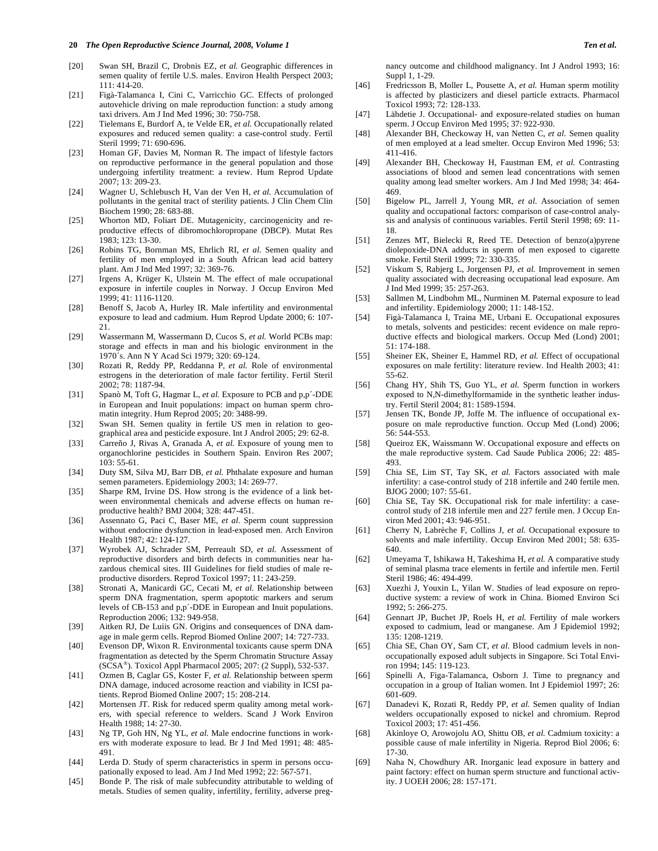- [20] Swan SH, Brazil C, Drobnis EZ, *et al.* Geographic differences in semen quality of fertile U.S. males. Environ Health Perspect 2003; 111: 414-20.
- [21] Figà-Talamanca I, Cini C, Varricchio GC. Effects of prolonged autovehicle driving on male reproduction function: a study among taxi drivers. Am J Ind Med 1996; 30: 750-758.
- [22] Tielemans E, Burdorf A, te Velde ER, *et al.* Occupationally related exposures and reduced semen quality: a case-control study. Fertil Steril 1999; 71: 690-696.
- [23] Homan GF, Davies M, Norman R. The impact of lifestyle factors on reproductive performance in the general population and those undergoing infertility treatment: a review. Hum Reprod Update 2007; 13: 209-23.
- [24] Wagner U, Schlebusch H, Van der Ven H, *et al.* Accumulation of pollutants in the genital tract of sterility patients. J Clin Chem Clin Biochem 1990; 28: 683-88.
- [25] Whorton MD, Foliart DE. Mutagenicity, carcinogenicity and reproductive effects of dibromochloropropane (DBCP). Mutat Res 1983; 123: 13-30.
- [26] Robins TG, Bornman MS, Ehrlich RI, *et al.* Semen quality and fertility of men employed in a South African lead acid battery plant. Am J Ind Med 1997; 32: 369-76.
- [27] Irgens A, Krüger K, Ulstein M. The effect of male occupational exposure in infertile couples in Norway. J Occup Environ Med 1999; 41: 1116-1120.
- [28] Benoff S, Jacob A, Hurley IR. Male infertility and environmental exposure to lead and cadmium. Hum Reprod Update 2000; 6: 107- 21.
- [29] Wassermann M, Wassermann D, Cucos S, *et al.* World PCBs map: storage and effects in man and his biologic environment in the 1970´s. Ann N Y Acad Sci 1979; 320: 69-124.
- [30] Rozati R, Reddy PP, Reddanna P, *et al.* Role of environmental estrogens in the deterioration of male factor fertility. Fertil Steril 2002; 78: 1187-94.
- [31] Spanò M, Toft G, Hagmar L, *et al.* Exposure to PCB and p,p´-DDE in European and Inuit populations: impact on human sperm chromatin integrity. Hum Reprod 2005; 20: 3488-99.
- [32] Swan SH. Semen quality in fertile US men in relation to geographical area and pesticide exposure. Int J Androl 2005; 29: 62-8.
- [33] Carreño J, Rivas A, Granada A, *et al.* Exposure of young men to organochlorine pesticides in Southern Spain. Environ Res 2007; 103: 55-61.
- [34] Duty SM, Silva MJ, Barr DB, *et al.* Phthalate exposure and human semen parameters. Epidemiology 2003; 14: 269-77.
- [35] Sharpe RM, Irvine DS. How strong is the evidence of a link between environmental chemicals and adverse effects on human reproductive health? BMJ 2004; 328: 447-451.
- [36] Assennato G, Paci C, Baser ME, *et al.* Sperm count suppression without endocrine dysfunction in lead-exposed men. Arch Environ Health 1987; 42: 124-127.
- [37] Wyrobek AJ, Schrader SM, Perreault SD, *et al.* Assessment of reproductive disorders and birth defects in communities near hazardous chemical sites. III Guidelines for field studies of male reproductive disorders. Reprod Toxicol 1997; 11: 243-259.
- [38] Stronati A, Manicardi GC, Cecati M, *et al.* Relationship between sperm DNA fragmentation, sperm apoptotic markers and serum levels of CB-153 and p,p´-DDE in European and Inuit populations. Reproduction 2006; 132: 949-958.
- [39] Aitken RJ, De Luiis GN. Origins and consequences of DNA damage in male germ cells. Reprod Biomed Online 2007; 14: 727-733.
- [40] Evenson DP, Wixon R. Environmental toxicants cause sperm DNA fragmentation as detected by the Sperm Chromatin Structure Assay (SCSA®). Toxicol Appl Pharmacol 2005; 207: (2 Suppl), 532-537.
- [41] Ozmen B, Caglar GS, Koster F, *et al.* Relationship between sperm DNA damage, induced acrosome reaction and viability in ICSI patients. Reprod Biomed Online 2007; 15: 208-214.
- [42] Mortensen JT. Risk for reduced sperm quality among metal workers, with special reference to welders. Scand J Work Environ Health 1988; 14: 27-30.
- [43] Ng TP, Goh HN, Ng YL, *et al.* Male endocrine functions in workers with moderate exposure to lead. Br J Ind Med 1991; 48: 485- 491.
- [44] Lerda D. Study of sperm characteristics in sperm in persons occupationally exposed to lead. Am J Ind Med 1992; 22: 567-571.
- [45] Bonde P. The risk of male subfecundity attributable to welding of metals. Studies of semen quality, infertility, fertility, adverse preg-

nancy outcome and childhood malignancy. Int J Androl 1993; 16: Suppl 1, 1-29.

- [46] Fredricsson B, Moller L, Pousette A, *et al.* Human sperm motility is affected by plasticizers and diesel particle extracts. Pharmacol Toxicol 1993; 72: 128-133.
- [47] Lähdetie J. Occupational- and exposure-related studies on human sperm. J Occup Environ Med 1995; 37: 922-930.
- [48] Alexander BH, Checkoway H, van Netten C, *et al.* Semen quality of men employed at a lead smelter. Occup Environ Med 1996; 53: 411-416.
- [49] Alexander BH, Checkoway H, Faustman EM, *et al.* Contrasting associations of blood and semen lead concentrations with semen quality among lead smelter workers. Am J Ind Med 1998; 34: 464- 469.
- [50] Bigelow PL, Jarrell J, Young MR, *et al*. Association of semen quality and occupational factors: comparison of case-control analysis and analysis of continuous variables. Fertil Steril 1998; 69: 11- 18.
- [51] Zenzes MT, Bielecki R, Reed TE. Detection of benzo(a)pyrene diolepoxide-DNA adducts in sperm of men exposed to cigarette smoke. Fertil Steril 1999; 72: 330-335.
- [52] Viskum S, Rabjerg L, Jorgensen PJ, *et al.* Improvement in semen quality associated with decreasing occupational lead exposure. Am J Ind Med 1999; 35: 257-263.
- [53] Sallmen M, Lindbohm ML, Nurminen M. Paternal exposure to lead and infertility. Epidemiology 2000; 11: 148-152.
- [54] Figà-Talamanca I, Traina ME, Urbani E. Occupational exposures to metals, solvents and pesticides: recent evidence on male reproductive effects and biological markers. Occup Med (Lond) 2001; 51: 174-188.
- [55] Sheiner EK, Sheiner E, Hammel RD, *et al.* Effect of occupational exposures on male fertility: literature review. Ind Health 2003; 41: 55-62.
- [56] Chang HY, Shih TS, Guo YL, *et al.* Sperm function in workers exposed to N,N-dimethylformamide in the synthetic leather industry. Fertil Steril 2004; 81: 1589-1594.
- [57] Jensen TK, Bonde JP, Joffe M. The influence of occupational exposure on male reproductive function. Occup Med (Lond) 2006; 56: 544-553.
- [58] Queiroz EK, Waissmann W. Occupational exposure and effects on the male reproductive system. Cad Saude Publica 2006; 22: 485- 493.
- [59] Chia SE, Lim ST, Tay SK, *et al.* Factors associated with male infertility: a case-control study of 218 infertile and 240 fertile men. BJOG 2000; 107: 55-61.
- [60] Chia SE, Tay SK. Occupational risk for male infertility: a casecontrol study of 218 infertile men and 227 fertile men. J Occup Environ Med 2001; 43: 946-951.
- [61] Cherry N, Labrèche F, Collins J, *et al.* Occupational exposure to solvents and male infertility. Occup Environ Med 2001; 58: 635- 640.
- [62] Umeyama T, Ishikawa H, Takeshima H, *et al.* A comparative study of seminal plasma trace elements in fertile and infertile men. Fertil Steril 1986; 46: 494-499.
- [63] Xuezhi J, Youxin L, Yilan W. Studies of lead exposure on reproductive system: a review of work in China. Biomed Environ Sci 1992; 5: 266-275.
- [64] Gennart JP, Buchet JP, Roels H, *et al.* Fertility of male workers exposed to cadmium, lead or manganese. Am J Epidemiol 1992; 135: 1208-1219.
- [65] Chia SE, Chan OY, Sam CT, *et al.* Blood cadmium levels in nonoccupationally exposed adult subjects in Singapore. Sci Total Environ 1994; 145: 119-123.
- [66] Spinelli A, Figa-Talamanca, Osborn J. Time to pregnancy and occupation in a group of Italian women. Int J Epidemiol 1997; 26: 601-609.
- [67] Danadevi K, Rozati R, Reddy PP, *et al.* Semen quality of Indian welders occupationally exposed to nickel and chromium. Reprod Toxicol 2003; 17: 451-456.
- [68] Akinloye O, Arowojolu AO, Shittu OB, *et al.* Cadmium toxicity: a possible cause of male infertility in Nigeria. Reprod Biol 2006; 6: 17-30.
- [69] Naha N, Chowdhury AR. Inorganic lead exposure in battery and paint factory: effect on human sperm structure and functional activity. J UOEH 2006; 28: 157-171.